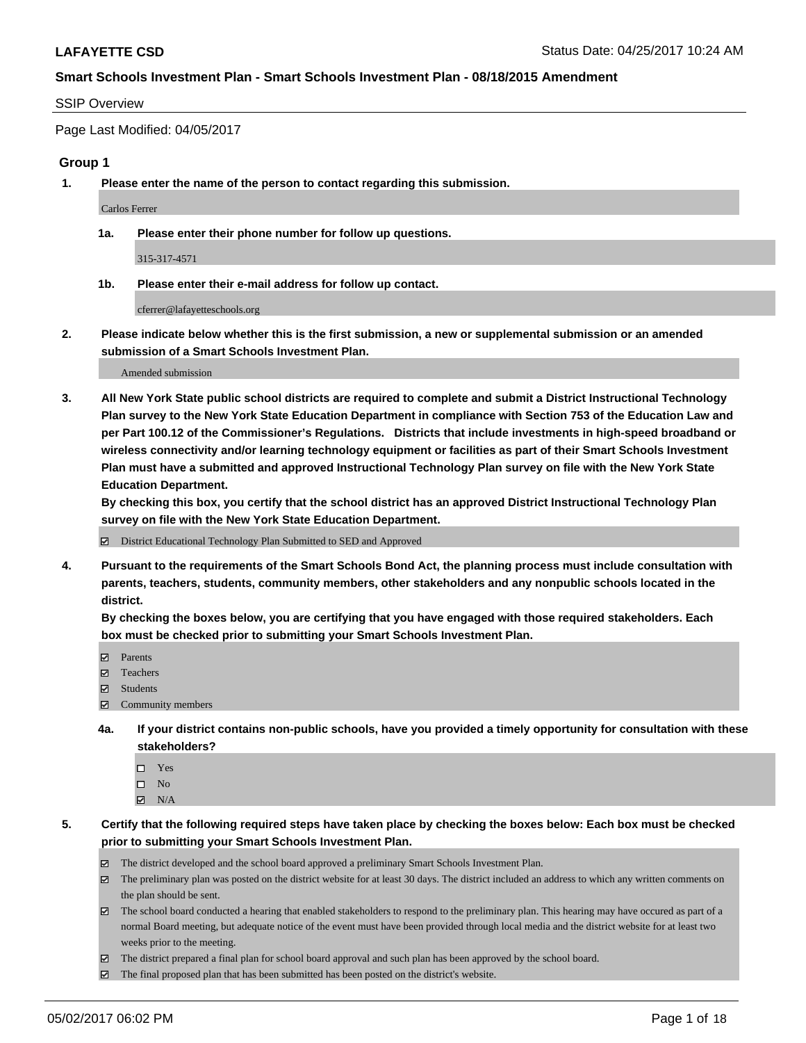#### SSIP Overview

Page Last Modified: 04/05/2017

## **Group 1**

**1. Please enter the name of the person to contact regarding this submission.**

Carlos Ferrer

**1a. Please enter their phone number for follow up questions.**

315-317-4571

**1b. Please enter their e-mail address for follow up contact.**

cferrer@lafayetteschools.org

**2. Please indicate below whether this is the first submission, a new or supplemental submission or an amended submission of a Smart Schools Investment Plan.**

Amended submission

**3. All New York State public school districts are required to complete and submit a District Instructional Technology Plan survey to the New York State Education Department in compliance with Section 753 of the Education Law and per Part 100.12 of the Commissioner's Regulations. Districts that include investments in high-speed broadband or wireless connectivity and/or learning technology equipment or facilities as part of their Smart Schools Investment Plan must have a submitted and approved Instructional Technology Plan survey on file with the New York State Education Department.** 

**By checking this box, you certify that the school district has an approved District Instructional Technology Plan survey on file with the New York State Education Department.**

District Educational Technology Plan Submitted to SED and Approved

**4. Pursuant to the requirements of the Smart Schools Bond Act, the planning process must include consultation with parents, teachers, students, community members, other stakeholders and any nonpublic schools located in the district.** 

**By checking the boxes below, you are certifying that you have engaged with those required stakeholders. Each box must be checked prior to submitting your Smart Schools Investment Plan.**

- **マ** Parents
- **□** Teachers
- Students
- $\Xi$  Community members
- **4a. If your district contains non-public schools, have you provided a timely opportunity for consultation with these stakeholders?**
	- Yes
	- $\hfill \square$  No
	- $\boxtimes$  N/A
- **5. Certify that the following required steps have taken place by checking the boxes below: Each box must be checked prior to submitting your Smart Schools Investment Plan.**
	- The district developed and the school board approved a preliminary Smart Schools Investment Plan.
	- $\boxtimes$  The preliminary plan was posted on the district website for at least 30 days. The district included an address to which any written comments on the plan should be sent.
	- $\boxtimes$  The school board conducted a hearing that enabled stakeholders to respond to the preliminary plan. This hearing may have occured as part of a normal Board meeting, but adequate notice of the event must have been provided through local media and the district website for at least two weeks prior to the meeting.
	- The district prepared a final plan for school board approval and such plan has been approved by the school board.
	- The final proposed plan that has been submitted has been posted on the district's website.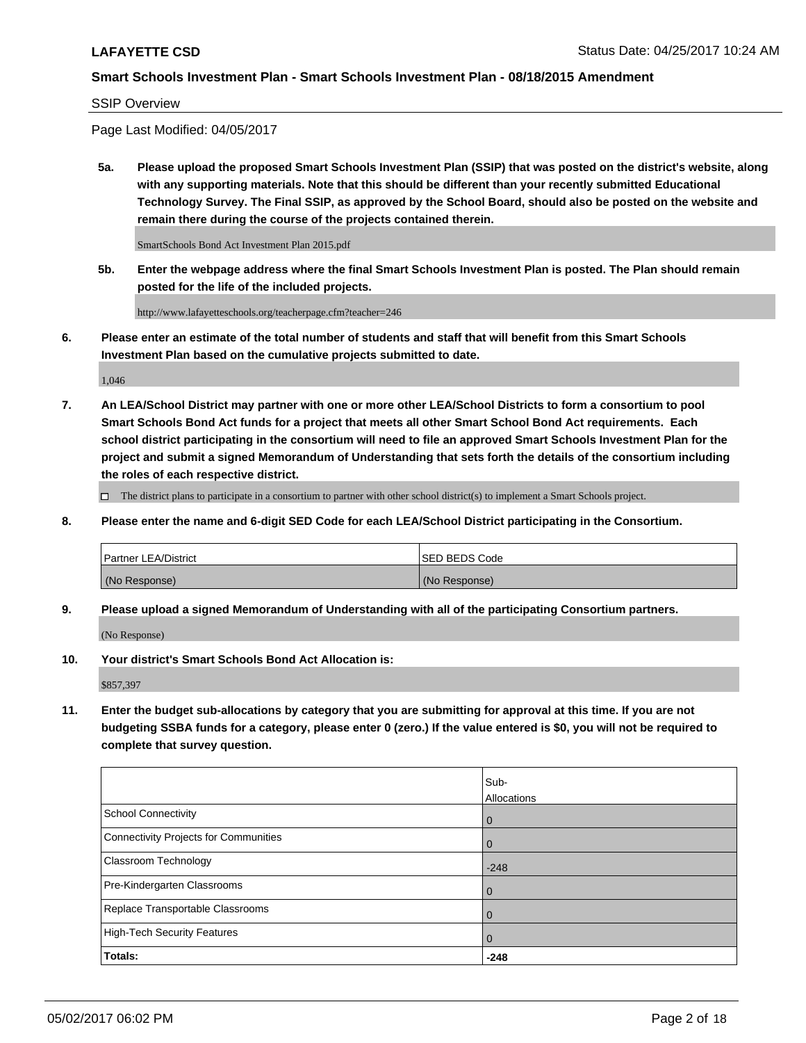SSIP Overview

Page Last Modified: 04/05/2017

**5a. Please upload the proposed Smart Schools Investment Plan (SSIP) that was posted on the district's website, along with any supporting materials. Note that this should be different than your recently submitted Educational Technology Survey. The Final SSIP, as approved by the School Board, should also be posted on the website and remain there during the course of the projects contained therein.**

SmartSchools Bond Act Investment Plan 2015.pdf

**5b. Enter the webpage address where the final Smart Schools Investment Plan is posted. The Plan should remain posted for the life of the included projects.**

http://www.lafayetteschools.org/teacherpage.cfm?teacher=246

**6. Please enter an estimate of the total number of students and staff that will benefit from this Smart Schools Investment Plan based on the cumulative projects submitted to date.**

1,046

**7. An LEA/School District may partner with one or more other LEA/School Districts to form a consortium to pool Smart Schools Bond Act funds for a project that meets all other Smart School Bond Act requirements. Each school district participating in the consortium will need to file an approved Smart Schools Investment Plan for the project and submit a signed Memorandum of Understanding that sets forth the details of the consortium including the roles of each respective district.**

 $\Box$  The district plans to participate in a consortium to partner with other school district(s) to implement a Smart Schools project.

**8. Please enter the name and 6-digit SED Code for each LEA/School District participating in the Consortium.**

| <b>Partner LEA/District</b> | <b>ISED BEDS Code</b> |
|-----------------------------|-----------------------|
| (No Response)               | (No Response)         |

**9. Please upload a signed Memorandum of Understanding with all of the participating Consortium partners.**

(No Response)

**10. Your district's Smart Schools Bond Act Allocation is:**

\$857,397

**11. Enter the budget sub-allocations by category that you are submitting for approval at this time. If you are not budgeting SSBA funds for a category, please enter 0 (zero.) If the value entered is \$0, you will not be required to complete that survey question.**

|                                              | Sub-<br>Allocations |
|----------------------------------------------|---------------------|
| <b>School Connectivity</b>                   | $\mathbf 0$         |
| <b>Connectivity Projects for Communities</b> | 0                   |
| Classroom Technology                         | $-248$              |
| Pre-Kindergarten Classrooms                  | $\overline{0}$      |
| Replace Transportable Classrooms             | $\mathbf 0$         |
| <b>High-Tech Security Features</b>           | $\overline{0}$      |
| Totals:                                      | $-248$              |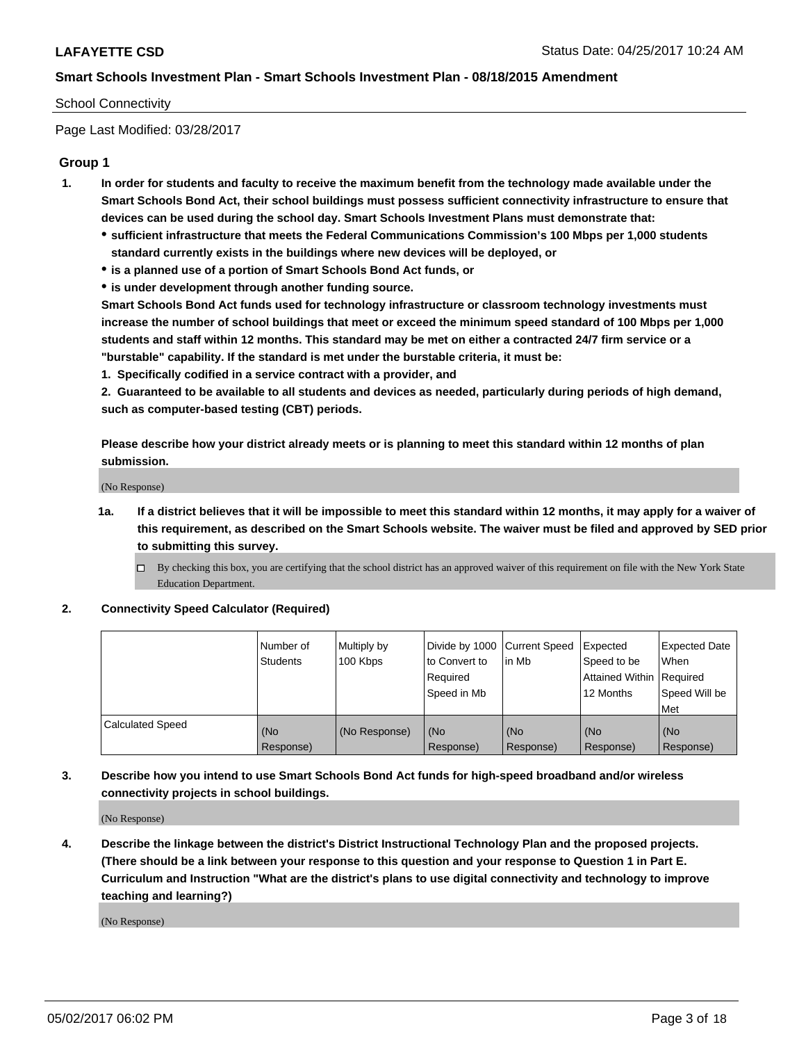### School Connectivity

Page Last Modified: 03/28/2017

## **Group 1**

- **1. In order for students and faculty to receive the maximum benefit from the technology made available under the Smart Schools Bond Act, their school buildings must possess sufficient connectivity infrastructure to ensure that devices can be used during the school day. Smart Schools Investment Plans must demonstrate that:**
	- **sufficient infrastructure that meets the Federal Communications Commission's 100 Mbps per 1,000 students standard currently exists in the buildings where new devices will be deployed, or**
	- **is a planned use of a portion of Smart Schools Bond Act funds, or**
	- **is under development through another funding source.**

**Smart Schools Bond Act funds used for technology infrastructure or classroom technology investments must increase the number of school buildings that meet or exceed the minimum speed standard of 100 Mbps per 1,000 students and staff within 12 months. This standard may be met on either a contracted 24/7 firm service or a "burstable" capability. If the standard is met under the burstable criteria, it must be:**

**1. Specifically codified in a service contract with a provider, and**

**2. Guaranteed to be available to all students and devices as needed, particularly during periods of high demand, such as computer-based testing (CBT) periods.**

**Please describe how your district already meets or is planning to meet this standard within 12 months of plan submission.**

(No Response)

- **1a. If a district believes that it will be impossible to meet this standard within 12 months, it may apply for a waiver of this requirement, as described on the Smart Schools website. The waiver must be filed and approved by SED prior to submitting this survey.**
	- By checking this box, you are certifying that the school district has an approved waiver of this requirement on file with the New York State Education Department.

#### **2. Connectivity Speed Calculator (Required)**

|                         | l Number of<br><b>Students</b> | Multiply by<br>100 Kbps | Divide by 1000   Current Speed<br>to Convert to<br>Required<br>l Speed in Mb | in Mb            | Expected<br>Speed to be<br>Attained Within Required<br>12 Months | <b>Expected Date</b><br>When<br>Speed Will be<br><b>Met</b> |
|-------------------------|--------------------------------|-------------------------|------------------------------------------------------------------------------|------------------|------------------------------------------------------------------|-------------------------------------------------------------|
| <b>Calculated Speed</b> | (No<br>Response)               | (No Response)           | (No<br>Response)                                                             | (No<br>Response) | (No<br>Response)                                                 | l (No<br>Response)                                          |

## **3. Describe how you intend to use Smart Schools Bond Act funds for high-speed broadband and/or wireless connectivity projects in school buildings.**

(No Response)

**4. Describe the linkage between the district's District Instructional Technology Plan and the proposed projects. (There should be a link between your response to this question and your response to Question 1 in Part E. Curriculum and Instruction "What are the district's plans to use digital connectivity and technology to improve teaching and learning?)**

(No Response)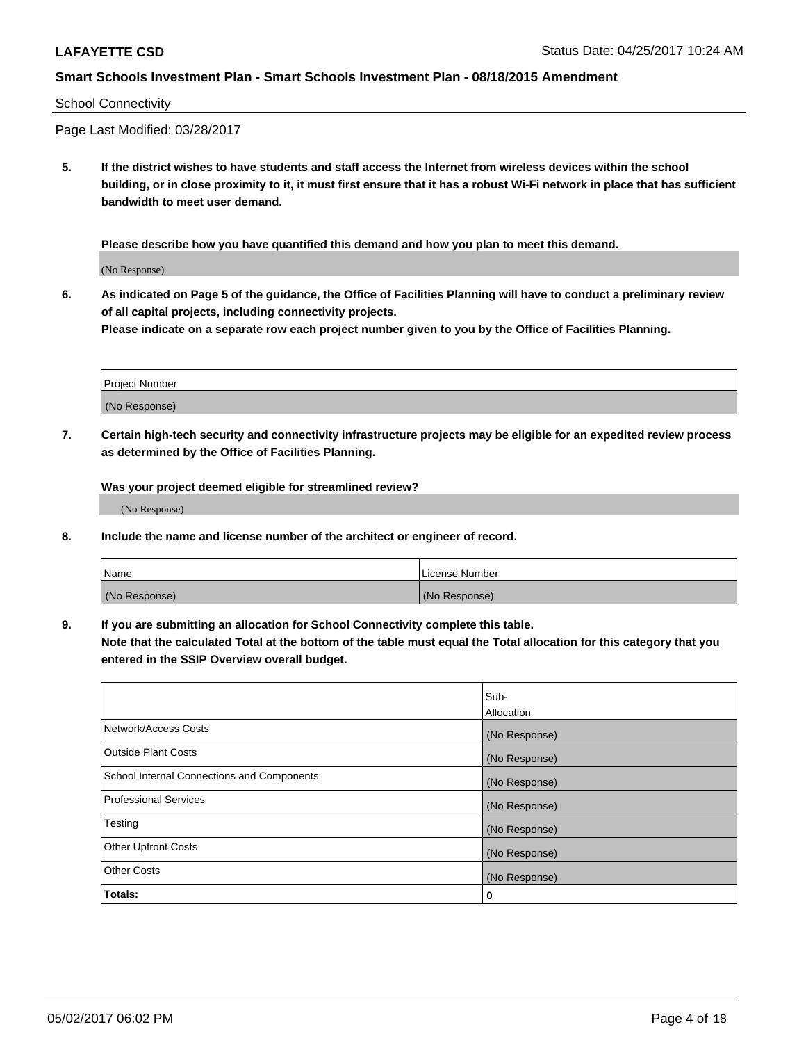#### School Connectivity

Page Last Modified: 03/28/2017

**5. If the district wishes to have students and staff access the Internet from wireless devices within the school building, or in close proximity to it, it must first ensure that it has a robust Wi-Fi network in place that has sufficient bandwidth to meet user demand.**

**Please describe how you have quantified this demand and how you plan to meet this demand.**

(No Response)

**6. As indicated on Page 5 of the guidance, the Office of Facilities Planning will have to conduct a preliminary review of all capital projects, including connectivity projects.**

**Please indicate on a separate row each project number given to you by the Office of Facilities Planning.**

| Project Number |  |
|----------------|--|
|                |  |
| (No Response)  |  |

**7. Certain high-tech security and connectivity infrastructure projects may be eligible for an expedited review process as determined by the Office of Facilities Planning.**

**Was your project deemed eligible for streamlined review?**

(No Response)

**8. Include the name and license number of the architect or engineer of record.**

| Name          | License Number |
|---------------|----------------|
| (No Response) | (No Response)  |

**9. If you are submitting an allocation for School Connectivity complete this table.**

**Note that the calculated Total at the bottom of the table must equal the Total allocation for this category that you entered in the SSIP Overview overall budget.** 

|                                            | Sub-              |
|--------------------------------------------|-------------------|
|                                            | <b>Allocation</b> |
| Network/Access Costs                       | (No Response)     |
| <b>Outside Plant Costs</b>                 | (No Response)     |
| School Internal Connections and Components | (No Response)     |
| Professional Services                      | (No Response)     |
| Testing                                    | (No Response)     |
| <b>Other Upfront Costs</b>                 | (No Response)     |
| <b>Other Costs</b>                         | (No Response)     |
| Totals:                                    | 0                 |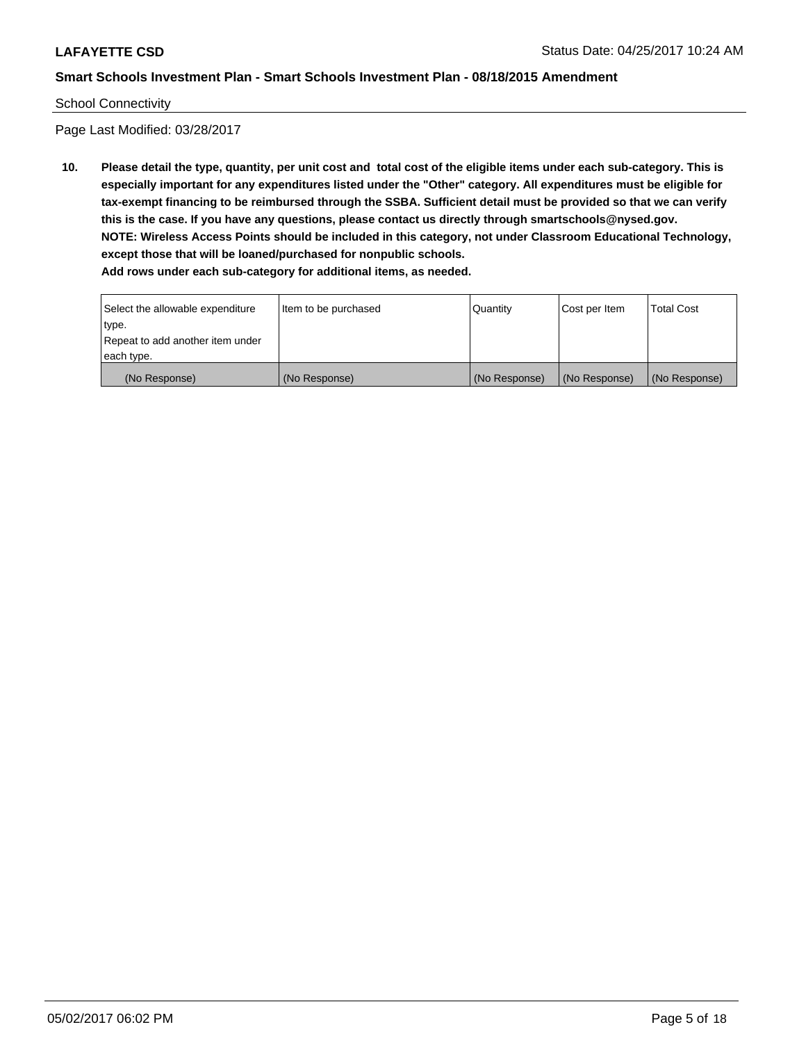#### School Connectivity

Page Last Modified: 03/28/2017

**10. Please detail the type, quantity, per unit cost and total cost of the eligible items under each sub-category. This is especially important for any expenditures listed under the "Other" category. All expenditures must be eligible for tax-exempt financing to be reimbursed through the SSBA. Sufficient detail must be provided so that we can verify this is the case. If you have any questions, please contact us directly through smartschools@nysed.gov. NOTE: Wireless Access Points should be included in this category, not under Classroom Educational Technology, except those that will be loaned/purchased for nonpublic schools.**

| Select the allowable expenditure | Item to be purchased | Quantity      | Cost per Item | Total Cost    |
|----------------------------------|----------------------|---------------|---------------|---------------|
| type.                            |                      |               |               |               |
| Repeat to add another item under |                      |               |               |               |
| each type.                       |                      |               |               |               |
| (No Response)                    | (No Response)        | (No Response) | (No Response) | (No Response) |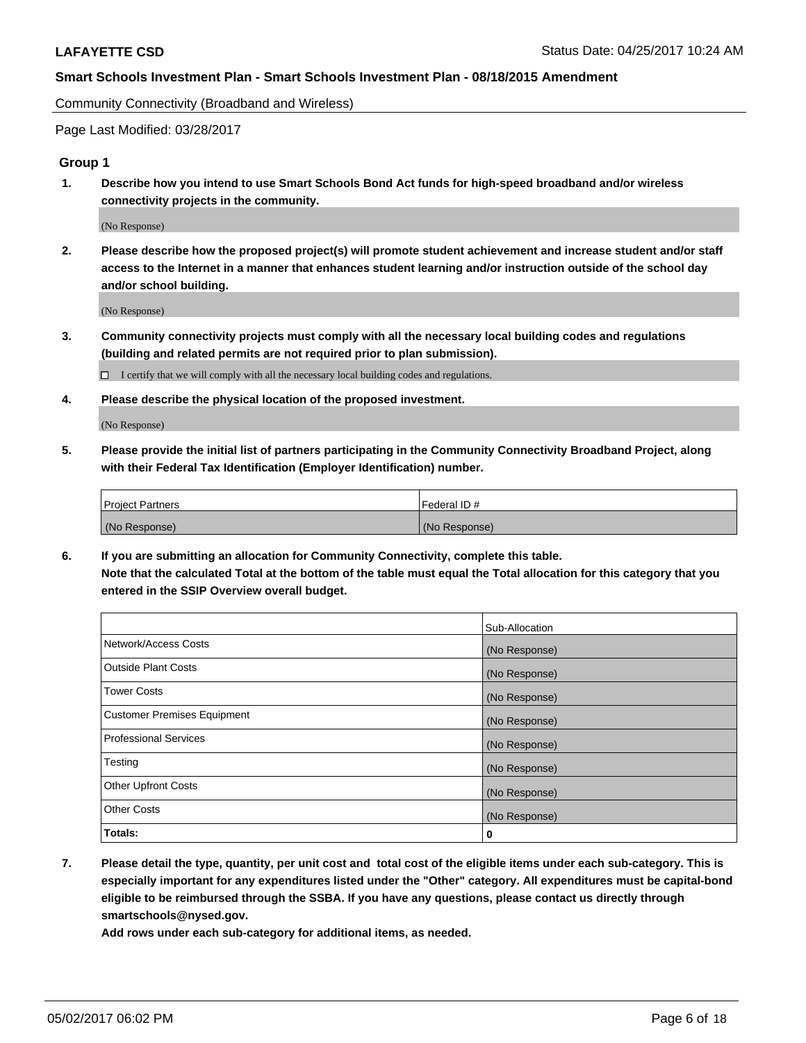Community Connectivity (Broadband and Wireless)

Page Last Modified: 03/28/2017

### **Group 1**

**1. Describe how you intend to use Smart Schools Bond Act funds for high-speed broadband and/or wireless connectivity projects in the community.**

(No Response)

**2. Please describe how the proposed project(s) will promote student achievement and increase student and/or staff access to the Internet in a manner that enhances student learning and/or instruction outside of the school day and/or school building.**

(No Response)

**3. Community connectivity projects must comply with all the necessary local building codes and regulations (building and related permits are not required prior to plan submission).**

 $\Box$  I certify that we will comply with all the necessary local building codes and regulations.

**4. Please describe the physical location of the proposed investment.**

(No Response)

**5. Please provide the initial list of partners participating in the Community Connectivity Broadband Project, along with their Federal Tax Identification (Employer Identification) number.**

| <b>Project Partners</b> | l Federal ID # |
|-------------------------|----------------|
| (No Response)           | (No Response)  |

**6. If you are submitting an allocation for Community Connectivity, complete this table. Note that the calculated Total at the bottom of the table must equal the Total allocation for this category that you entered in the SSIP Overview overall budget.**

|                                    | Sub-Allocation |
|------------------------------------|----------------|
| Network/Access Costs               | (No Response)  |
| Outside Plant Costs                | (No Response)  |
| <b>Tower Costs</b>                 | (No Response)  |
| <b>Customer Premises Equipment</b> | (No Response)  |
| <b>Professional Services</b>       | (No Response)  |
| Testing                            | (No Response)  |
| <b>Other Upfront Costs</b>         | (No Response)  |
| <b>Other Costs</b>                 | (No Response)  |
| Totals:                            | 0              |

**7. Please detail the type, quantity, per unit cost and total cost of the eligible items under each sub-category. This is especially important for any expenditures listed under the "Other" category. All expenditures must be capital-bond eligible to be reimbursed through the SSBA. If you have any questions, please contact us directly through smartschools@nysed.gov.**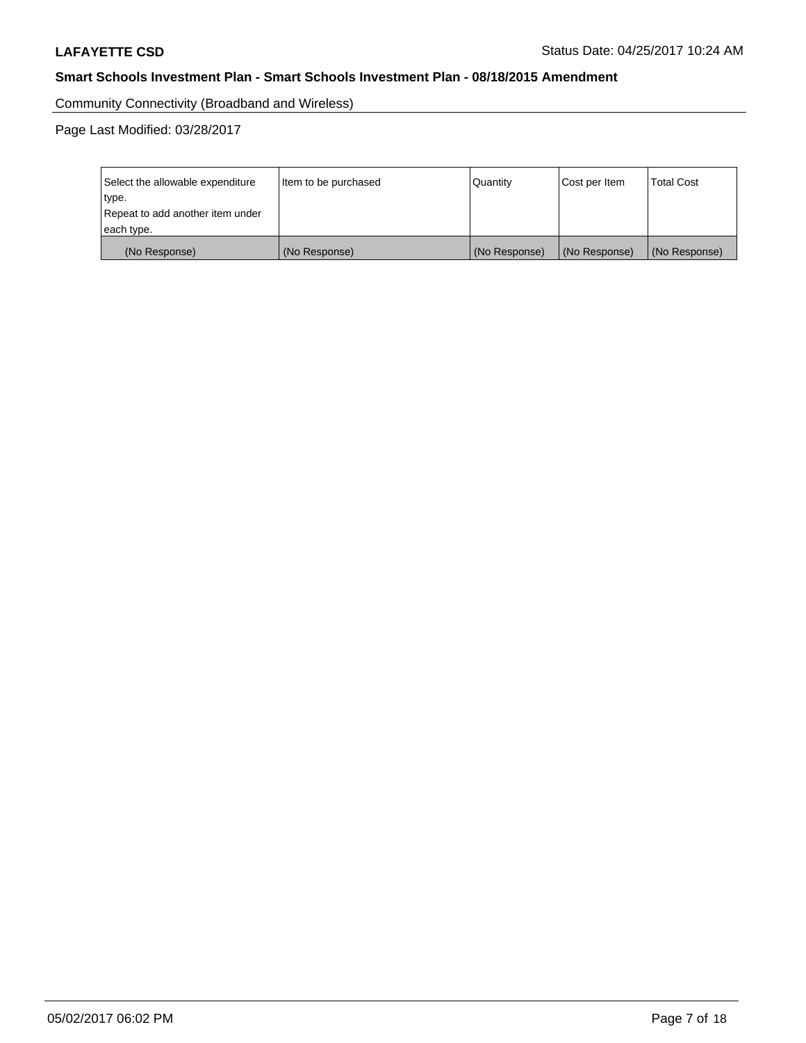Community Connectivity (Broadband and Wireless)

| Select the allowable expenditure<br>type.<br>Repeat to add another item under | Item to be purchased | Quantity      | Cost per Item | <b>Total Cost</b> |
|-------------------------------------------------------------------------------|----------------------|---------------|---------------|-------------------|
| each type.                                                                    |                      |               |               |                   |
| (No Response)                                                                 | (No Response)        | (No Response) | (No Response) | (No Response)     |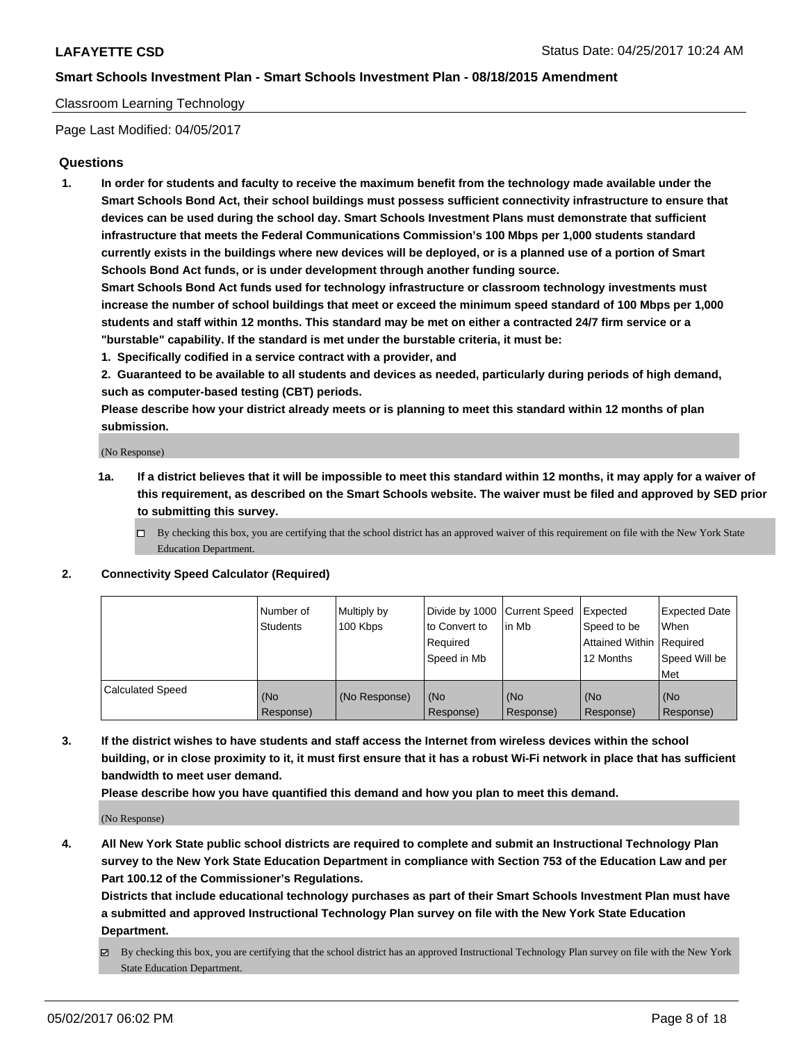### Classroom Learning Technology

Page Last Modified: 04/05/2017

### **Questions**

**1. In order for students and faculty to receive the maximum benefit from the technology made available under the Smart Schools Bond Act, their school buildings must possess sufficient connectivity infrastructure to ensure that devices can be used during the school day. Smart Schools Investment Plans must demonstrate that sufficient infrastructure that meets the Federal Communications Commission's 100 Mbps per 1,000 students standard currently exists in the buildings where new devices will be deployed, or is a planned use of a portion of Smart Schools Bond Act funds, or is under development through another funding source.**

**Smart Schools Bond Act funds used for technology infrastructure or classroom technology investments must increase the number of school buildings that meet or exceed the minimum speed standard of 100 Mbps per 1,000 students and staff within 12 months. This standard may be met on either a contracted 24/7 firm service or a "burstable" capability. If the standard is met under the burstable criteria, it must be:**

- **1. Specifically codified in a service contract with a provider, and**
- **2. Guaranteed to be available to all students and devices as needed, particularly during periods of high demand, such as computer-based testing (CBT) periods.**

**Please describe how your district already meets or is planning to meet this standard within 12 months of plan submission.**

(No Response)

- **1a. If a district believes that it will be impossible to meet this standard within 12 months, it may apply for a waiver of this requirement, as described on the Smart Schools website. The waiver must be filed and approved by SED prior to submitting this survey.**
	- $\Box$  By checking this box, you are certifying that the school district has an approved waiver of this requirement on file with the New York State Education Department.

#### **2. Connectivity Speed Calculator (Required)**

|                         | l Number of<br>Students | Multiply by<br>100 Kbps | Divide by 1000   Current Speed<br>to Convert to<br>Required<br>Speed in Mb | lin Mb           | Expected<br>Speed to be<br>Attained Within Required<br>12 Months | <b>Expected Date</b><br>When<br>Speed Will be<br>Met |
|-------------------------|-------------------------|-------------------------|----------------------------------------------------------------------------|------------------|------------------------------------------------------------------|------------------------------------------------------|
| <b>Calculated Speed</b> | (No<br>Response)        | (No Response)           | (No<br>Response)                                                           | (No<br>Response) | (No<br>Response)                                                 | (No<br>Response)                                     |

**3. If the district wishes to have students and staff access the Internet from wireless devices within the school building, or in close proximity to it, it must first ensure that it has a robust Wi-Fi network in place that has sufficient bandwidth to meet user demand.**

**Please describe how you have quantified this demand and how you plan to meet this demand.**

(No Response)

**4. All New York State public school districts are required to complete and submit an Instructional Technology Plan survey to the New York State Education Department in compliance with Section 753 of the Education Law and per Part 100.12 of the Commissioner's Regulations.**

**Districts that include educational technology purchases as part of their Smart Schools Investment Plan must have a submitted and approved Instructional Technology Plan survey on file with the New York State Education Department.**

 $\boxtimes$  By checking this box, you are certifying that the school district has an approved Instructional Technology Plan survey on file with the New York State Education Department.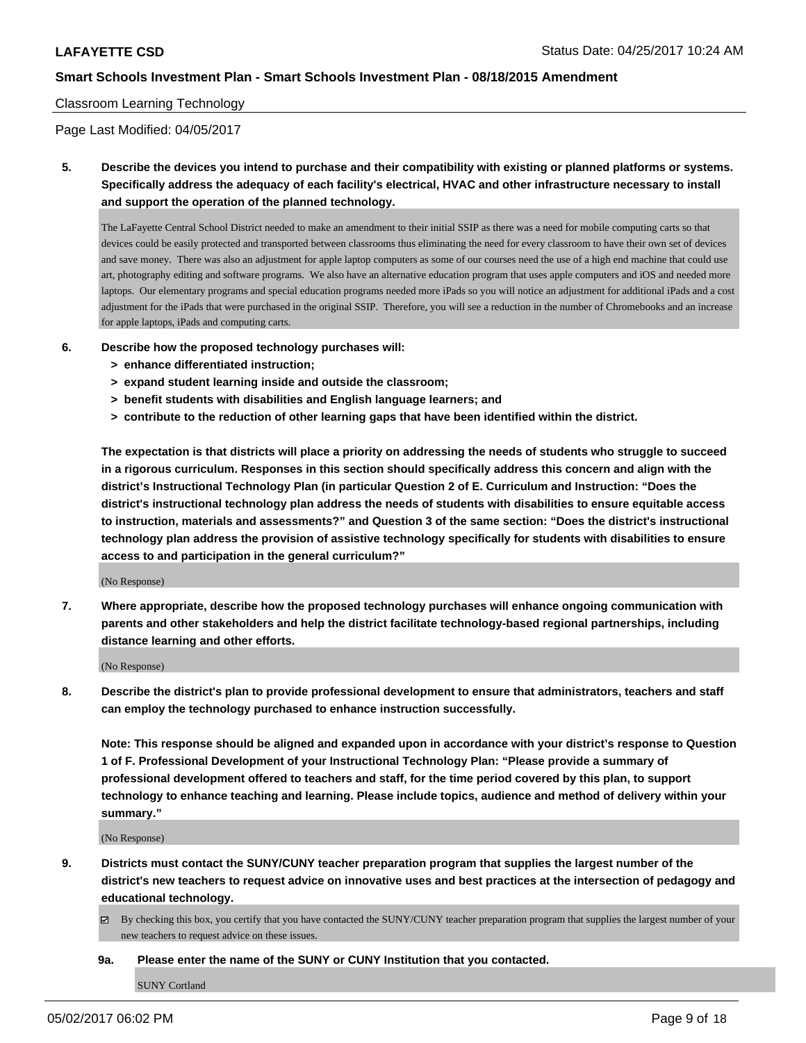### Classroom Learning Technology

Page Last Modified: 04/05/2017

**5. Describe the devices you intend to purchase and their compatibility with existing or planned platforms or systems. Specifically address the adequacy of each facility's electrical, HVAC and other infrastructure necessary to install and support the operation of the planned technology.**

The LaFayette Central School District needed to make an amendment to their initial SSIP as there was a need for mobile computing carts so that devices could be easily protected and transported between classrooms thus eliminating the need for every classroom to have their own set of devices and save money. There was also an adjustment for apple laptop computers as some of our courses need the use of a high end machine that could use art, photography editing and software programs. We also have an alternative education program that uses apple computers and iOS and needed more laptops. Our elementary programs and special education programs needed more iPads so you will notice an adjustment for additional iPads and a cost adjustment for the iPads that were purchased in the original SSIP. Therefore, you will see a reduction in the number of Chromebooks and an increase for apple laptops, iPads and computing carts.

- **6. Describe how the proposed technology purchases will:**
	- **> enhance differentiated instruction;**
	- **> expand student learning inside and outside the classroom;**
	- **> benefit students with disabilities and English language learners; and**
	- **> contribute to the reduction of other learning gaps that have been identified within the district.**

**The expectation is that districts will place a priority on addressing the needs of students who struggle to succeed in a rigorous curriculum. Responses in this section should specifically address this concern and align with the district's Instructional Technology Plan (in particular Question 2 of E. Curriculum and Instruction: "Does the district's instructional technology plan address the needs of students with disabilities to ensure equitable access to instruction, materials and assessments?" and Question 3 of the same section: "Does the district's instructional technology plan address the provision of assistive technology specifically for students with disabilities to ensure access to and participation in the general curriculum?"**

(No Response)

**7. Where appropriate, describe how the proposed technology purchases will enhance ongoing communication with parents and other stakeholders and help the district facilitate technology-based regional partnerships, including distance learning and other efforts.**

(No Response)

**8. Describe the district's plan to provide professional development to ensure that administrators, teachers and staff can employ the technology purchased to enhance instruction successfully.**

**Note: This response should be aligned and expanded upon in accordance with your district's response to Question 1 of F. Professional Development of your Instructional Technology Plan: "Please provide a summary of professional development offered to teachers and staff, for the time period covered by this plan, to support technology to enhance teaching and learning. Please include topics, audience and method of delivery within your summary."**

(No Response)

- **9. Districts must contact the SUNY/CUNY teacher preparation program that supplies the largest number of the district's new teachers to request advice on innovative uses and best practices at the intersection of pedagogy and educational technology.**
	- By checking this box, you certify that you have contacted the SUNY/CUNY teacher preparation program that supplies the largest number of your new teachers to request advice on these issues.
	- **9a. Please enter the name of the SUNY or CUNY Institution that you contacted.**

SUNY Cortland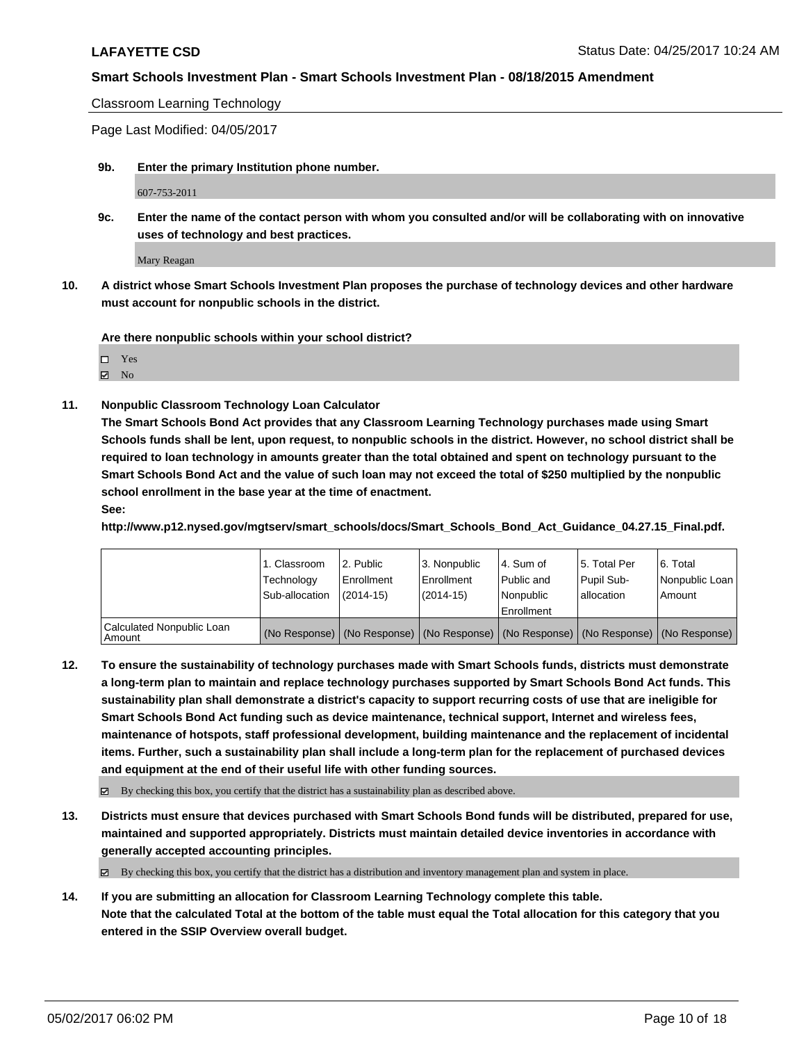Classroom Learning Technology

Page Last Modified: 04/05/2017

**9b. Enter the primary Institution phone number.**

607-753-2011

**9c. Enter the name of the contact person with whom you consulted and/or will be collaborating with on innovative uses of technology and best practices.**

Mary Reagan

**10. A district whose Smart Schools Investment Plan proposes the purchase of technology devices and other hardware must account for nonpublic schools in the district.**

**Are there nonpublic schools within your school district?**

 $\boxtimes$  No

**11. Nonpublic Classroom Technology Loan Calculator**

**The Smart Schools Bond Act provides that any Classroom Learning Technology purchases made using Smart Schools funds shall be lent, upon request, to nonpublic schools in the district. However, no school district shall be required to loan technology in amounts greater than the total obtained and spent on technology pursuant to the Smart Schools Bond Act and the value of such loan may not exceed the total of \$250 multiplied by the nonpublic school enrollment in the base year at the time of enactment.**

**See:**

**http://www.p12.nysed.gov/mgtserv/smart\_schools/docs/Smart\_Schools\_Bond\_Act\_Guidance\_04.27.15\_Final.pdf.**

|                                       | 1. Classroom<br>Technology<br>Sub-allocation | 12. Public<br>l Enrollment<br>$(2014-15)$ | l 3. Nonpublic<br>l Enrollment<br>(2014-15) | l 4. Sum of<br>Public and<br>l Nonpublic<br>Enrollment | 15. Total Per<br>Pupil Sub-<br>I allocation | 6. Total<br>Nonpublic Loan  <br>Amount                                                        |
|---------------------------------------|----------------------------------------------|-------------------------------------------|---------------------------------------------|--------------------------------------------------------|---------------------------------------------|-----------------------------------------------------------------------------------------------|
| Calculated Nonpublic Loan<br>l Amount |                                              |                                           |                                             |                                                        |                                             | (No Response)   (No Response)   (No Response)   (No Response)   (No Response)   (No Response) |

**12. To ensure the sustainability of technology purchases made with Smart Schools funds, districts must demonstrate a long-term plan to maintain and replace technology purchases supported by Smart Schools Bond Act funds. This sustainability plan shall demonstrate a district's capacity to support recurring costs of use that are ineligible for Smart Schools Bond Act funding such as device maintenance, technical support, Internet and wireless fees, maintenance of hotspots, staff professional development, building maintenance and the replacement of incidental items. Further, such a sustainability plan shall include a long-term plan for the replacement of purchased devices and equipment at the end of their useful life with other funding sources.**

By checking this box, you certify that the district has a sustainability plan as described above.

**13. Districts must ensure that devices purchased with Smart Schools Bond funds will be distributed, prepared for use, maintained and supported appropriately. Districts must maintain detailed device inventories in accordance with generally accepted accounting principles.**

 $\boxtimes$  By checking this box, you certify that the district has a distribution and inventory management plan and system in place.

**14. If you are submitting an allocation for Classroom Learning Technology complete this table. Note that the calculated Total at the bottom of the table must equal the Total allocation for this category that you entered in the SSIP Overview overall budget.**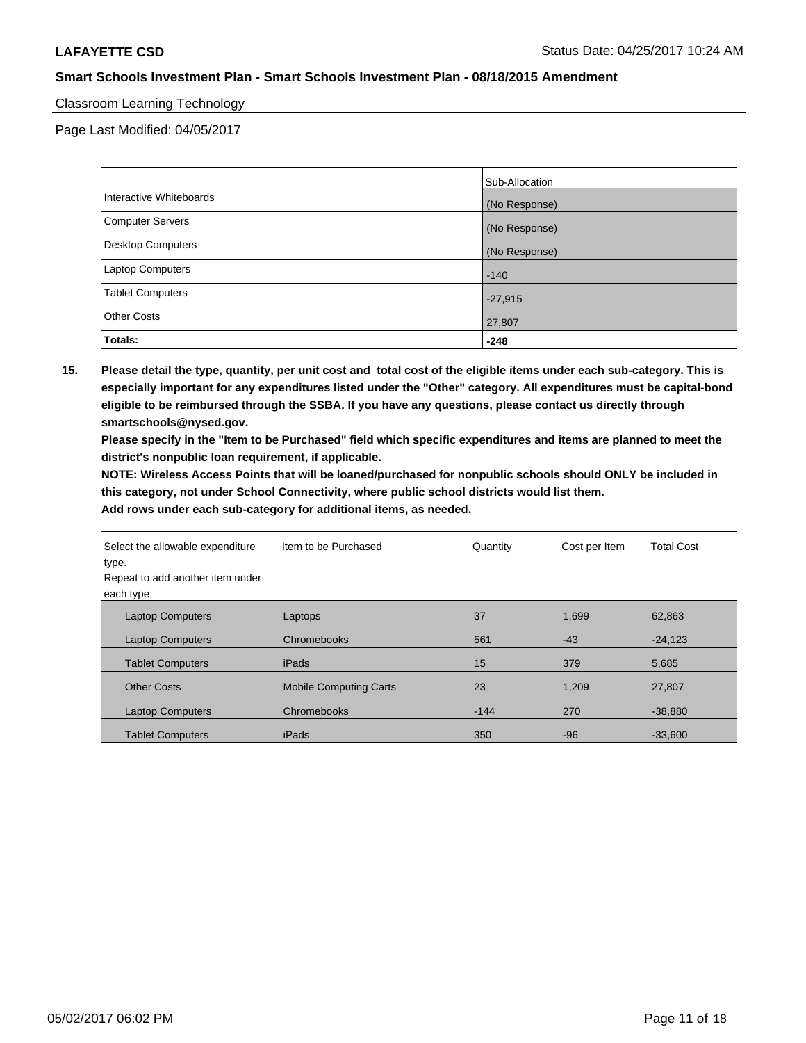## Classroom Learning Technology

Page Last Modified: 04/05/2017

|                         | Sub-Allocation |
|-------------------------|----------------|
| Interactive Whiteboards | (No Response)  |
| Computer Servers        | (No Response)  |
| Desktop Computers       | (No Response)  |
| Laptop Computers        | $-140$         |
| <b>Tablet Computers</b> | $-27,915$      |
| <b>Other Costs</b>      | 27,807         |
| Totals:                 | $-248$         |

**15. Please detail the type, quantity, per unit cost and total cost of the eligible items under each sub-category. This is especially important for any expenditures listed under the "Other" category. All expenditures must be capital-bond eligible to be reimbursed through the SSBA. If you have any questions, please contact us directly through smartschools@nysed.gov.**

**Please specify in the "Item to be Purchased" field which specific expenditures and items are planned to meet the district's nonpublic loan requirement, if applicable.**

**NOTE: Wireless Access Points that will be loaned/purchased for nonpublic schools should ONLY be included in this category, not under School Connectivity, where public school districts would list them.**

| Select the allowable expenditure | Iltem to be Purchased  | Quantity | Cost per Item | <b>Total Cost</b> |
|----------------------------------|------------------------|----------|---------------|-------------------|
| type.                            |                        |          |               |                   |
| Repeat to add another item under |                        |          |               |                   |
| each type.                       |                        |          |               |                   |
| <b>Laptop Computers</b>          | Laptops                | 37       | 1,699         | 62,863            |
| <b>Laptop Computers</b>          | Chromebooks            | 561      | $-43$         | $-24,123$         |
| <b>Tablet Computers</b>          | l iPads                | 15       | 379           | 5,685             |
| <b>Other Costs</b>               | Mobile Computing Carts | 23       | 1,209         | 27,807            |
| <b>Laptop Computers</b>          | Chromebooks            | $-144$   | 270           | $-38,880$         |
| <b>Tablet Computers</b>          | l iPads                | 350      | $-96$         | $-33,600$         |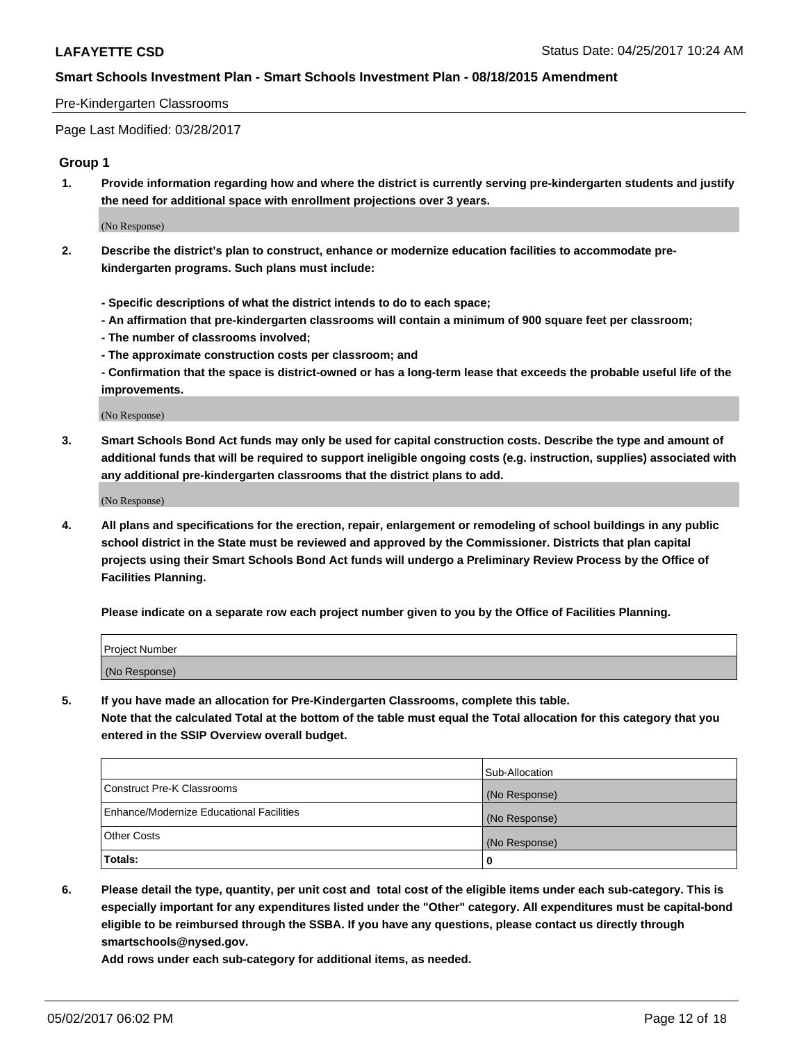#### Pre-Kindergarten Classrooms

Page Last Modified: 03/28/2017

#### **Group 1**

**1. Provide information regarding how and where the district is currently serving pre-kindergarten students and justify the need for additional space with enrollment projections over 3 years.**

(No Response)

- **2. Describe the district's plan to construct, enhance or modernize education facilities to accommodate prekindergarten programs. Such plans must include:**
	- **Specific descriptions of what the district intends to do to each space;**
	- **An affirmation that pre-kindergarten classrooms will contain a minimum of 900 square feet per classroom;**
	- **The number of classrooms involved;**
	- **The approximate construction costs per classroom; and**
	- **Confirmation that the space is district-owned or has a long-term lease that exceeds the probable useful life of the improvements.**

(No Response)

**3. Smart Schools Bond Act funds may only be used for capital construction costs. Describe the type and amount of additional funds that will be required to support ineligible ongoing costs (e.g. instruction, supplies) associated with any additional pre-kindergarten classrooms that the district plans to add.**

(No Response)

**4. All plans and specifications for the erection, repair, enlargement or remodeling of school buildings in any public school district in the State must be reviewed and approved by the Commissioner. Districts that plan capital projects using their Smart Schools Bond Act funds will undergo a Preliminary Review Process by the Office of Facilities Planning.**

**Please indicate on a separate row each project number given to you by the Office of Facilities Planning.**

| Project Number |  |
|----------------|--|
| (No Response)  |  |

**5. If you have made an allocation for Pre-Kindergarten Classrooms, complete this table. Note that the calculated Total at the bottom of the table must equal the Total allocation for this category that you entered in the SSIP Overview overall budget.**

| Totals:                                  | 0              |
|------------------------------------------|----------------|
| Other Costs                              | (No Response)  |
| Enhance/Modernize Educational Facilities | (No Response)  |
| Construct Pre-K Classrooms               | (No Response)  |
|                                          | Sub-Allocation |

**6. Please detail the type, quantity, per unit cost and total cost of the eligible items under each sub-category. This is especially important for any expenditures listed under the "Other" category. All expenditures must be capital-bond eligible to be reimbursed through the SSBA. If you have any questions, please contact us directly through smartschools@nysed.gov.**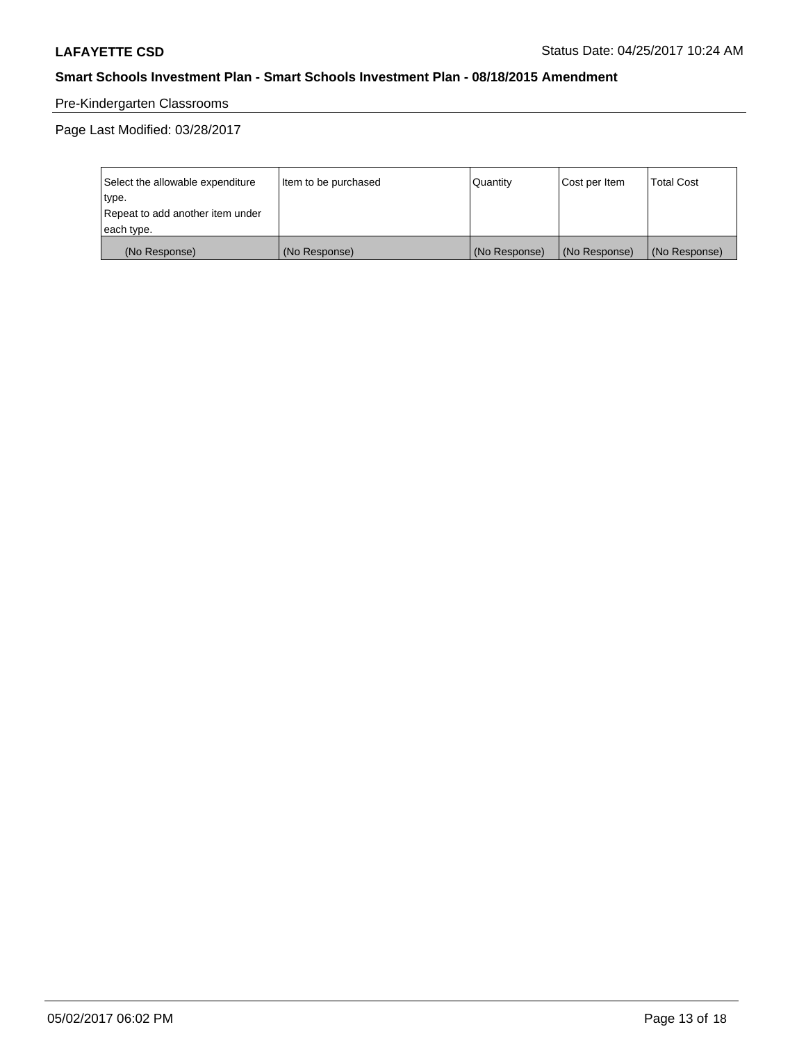# Pre-Kindergarten Classrooms

| Select the allowable expenditure | Item to be purchased | Quantity      | Cost per Item | <b>Total Cost</b> |
|----------------------------------|----------------------|---------------|---------------|-------------------|
| type.                            |                      |               |               |                   |
| Repeat to add another item under |                      |               |               |                   |
| each type.                       |                      |               |               |                   |
| (No Response)                    | (No Response)        | (No Response) | (No Response) | (No Response)     |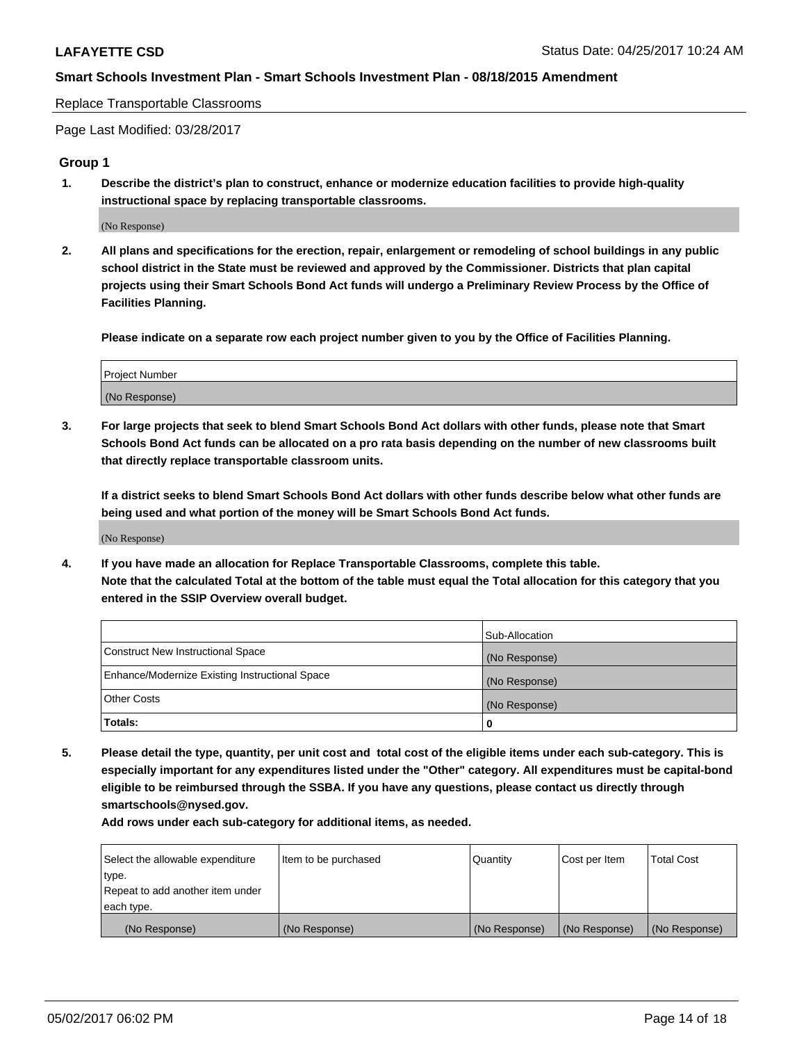Replace Transportable Classrooms

Page Last Modified: 03/28/2017

#### **Group 1**

**1. Describe the district's plan to construct, enhance or modernize education facilities to provide high-quality instructional space by replacing transportable classrooms.**

(No Response)

**2. All plans and specifications for the erection, repair, enlargement or remodeling of school buildings in any public school district in the State must be reviewed and approved by the Commissioner. Districts that plan capital projects using their Smart Schools Bond Act funds will undergo a Preliminary Review Process by the Office of Facilities Planning.**

**Please indicate on a separate row each project number given to you by the Office of Facilities Planning.**

| Project Number |  |
|----------------|--|
| (No Response)  |  |

**3. For large projects that seek to blend Smart Schools Bond Act dollars with other funds, please note that Smart Schools Bond Act funds can be allocated on a pro rata basis depending on the number of new classrooms built that directly replace transportable classroom units.**

**If a district seeks to blend Smart Schools Bond Act dollars with other funds describe below what other funds are being used and what portion of the money will be Smart Schools Bond Act funds.**

(No Response)

**4. If you have made an allocation for Replace Transportable Classrooms, complete this table. Note that the calculated Total at the bottom of the table must equal the Total allocation for this category that you entered in the SSIP Overview overall budget.**

|                                                | Sub-Allocation |
|------------------------------------------------|----------------|
| Construct New Instructional Space              | (No Response)  |
| Enhance/Modernize Existing Instructional Space | (No Response)  |
| Other Costs                                    | (No Response)  |
| Totals:                                        | $\Omega$       |

**5. Please detail the type, quantity, per unit cost and total cost of the eligible items under each sub-category. This is especially important for any expenditures listed under the "Other" category. All expenditures must be capital-bond eligible to be reimbursed through the SSBA. If you have any questions, please contact us directly through smartschools@nysed.gov.**

| Select the allowable expenditure | Item to be purchased | Quantity      | Cost per Item | <b>Total Cost</b> |
|----------------------------------|----------------------|---------------|---------------|-------------------|
| type.                            |                      |               |               |                   |
| Repeat to add another item under |                      |               |               |                   |
| each type.                       |                      |               |               |                   |
| (No Response)                    | (No Response)        | (No Response) | (No Response) | (No Response)     |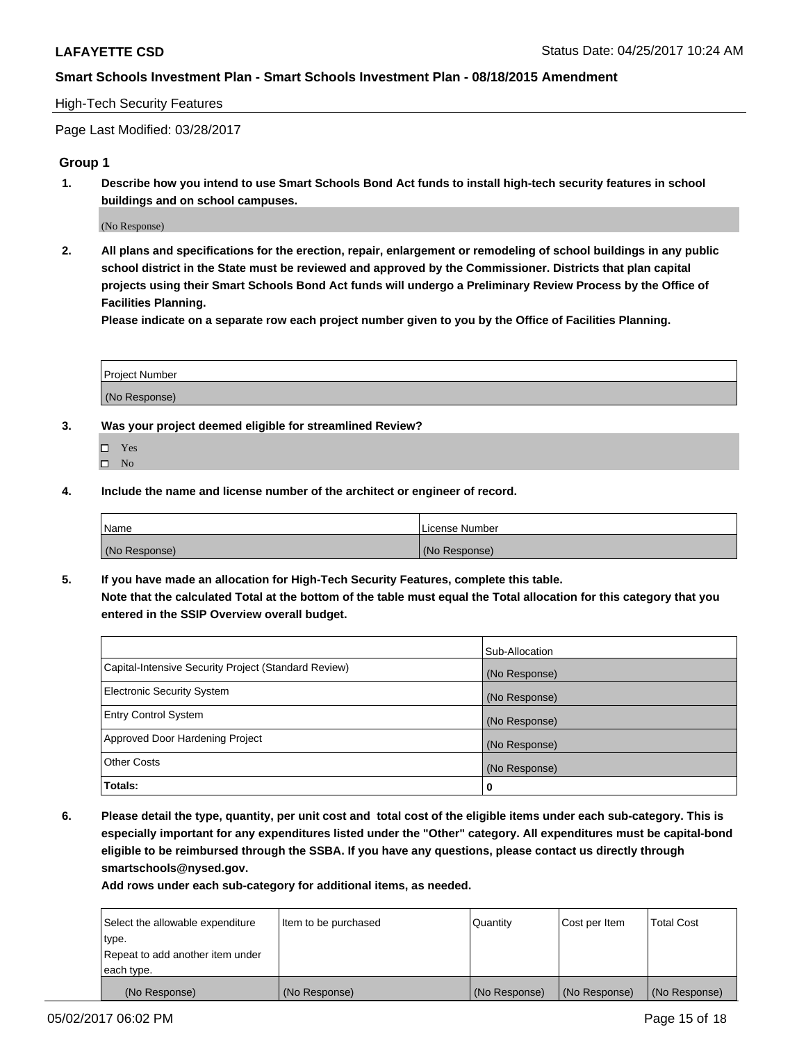### High-Tech Security Features

Page Last Modified: 03/28/2017

## **Group 1**

**1. Describe how you intend to use Smart Schools Bond Act funds to install high-tech security features in school buildings and on school campuses.**

(No Response)

**2. All plans and specifications for the erection, repair, enlargement or remodeling of school buildings in any public school district in the State must be reviewed and approved by the Commissioner. Districts that plan capital projects using their Smart Schools Bond Act funds will undergo a Preliminary Review Process by the Office of Facilities Planning.** 

**Please indicate on a separate row each project number given to you by the Office of Facilities Planning.**

| Project Number |  |
|----------------|--|
|                |  |
| (No Response)  |  |

- **3. Was your project deemed eligible for streamlined Review?**
	- Yes  $\hfill \square$  No
- **4. Include the name and license number of the architect or engineer of record.**

| Name          | l License Number |
|---------------|------------------|
| (No Response) | (No Response)    |

**5. If you have made an allocation for High-Tech Security Features, complete this table. Note that the calculated Total at the bottom of the table must equal the Total allocation for this category that you entered in the SSIP Overview overall budget.**

|                                                      | Sub-Allocation |
|------------------------------------------------------|----------------|
| Capital-Intensive Security Project (Standard Review) | (No Response)  |
| <b>Electronic Security System</b>                    | (No Response)  |
| <b>Entry Control System</b>                          | (No Response)  |
| Approved Door Hardening Project                      | (No Response)  |
| <b>Other Costs</b>                                   | (No Response)  |
| Totals:                                              | 0              |

**6. Please detail the type, quantity, per unit cost and total cost of the eligible items under each sub-category. This is especially important for any expenditures listed under the "Other" category. All expenditures must be capital-bond eligible to be reimbursed through the SSBA. If you have any questions, please contact us directly through smartschools@nysed.gov.**

| (No Response)                    | (No Response)        | (No Response) | (No Response) | (No Response)     |
|----------------------------------|----------------------|---------------|---------------|-------------------|
| each type.                       |                      |               |               |                   |
| Repeat to add another item under |                      |               |               |                   |
| type.                            |                      |               |               |                   |
| Select the allowable expenditure | Item to be purchased | Quantity      | Cost per Item | <b>Total Cost</b> |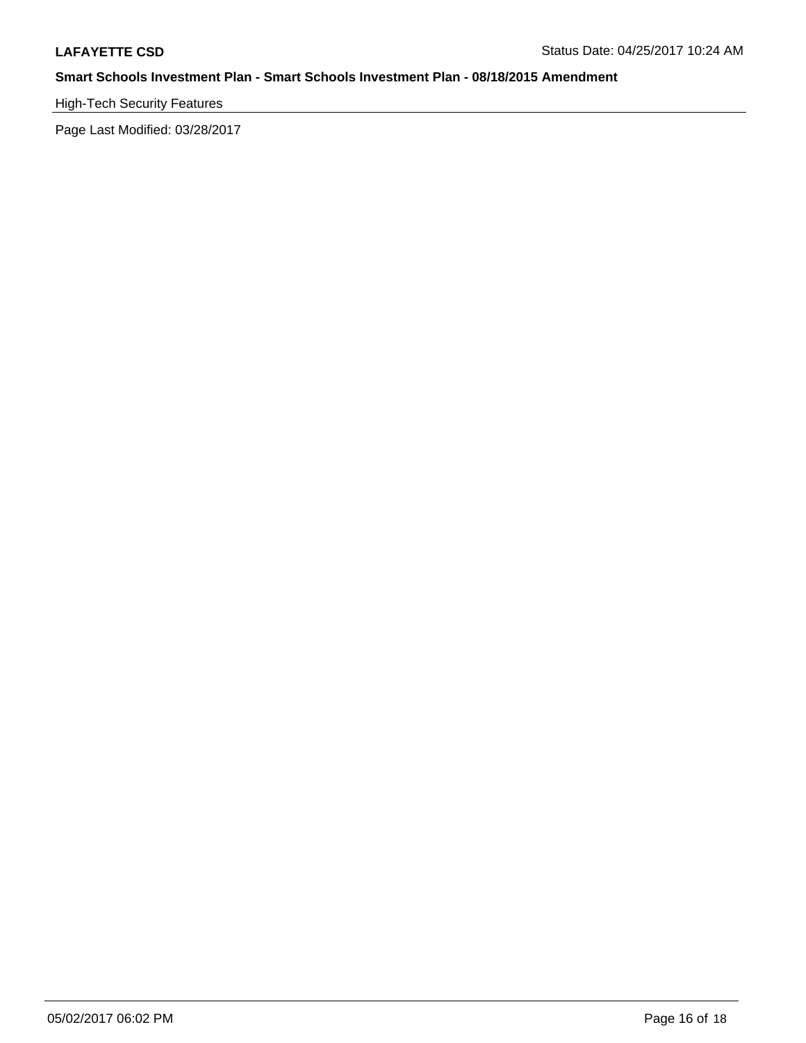# High-Tech Security Features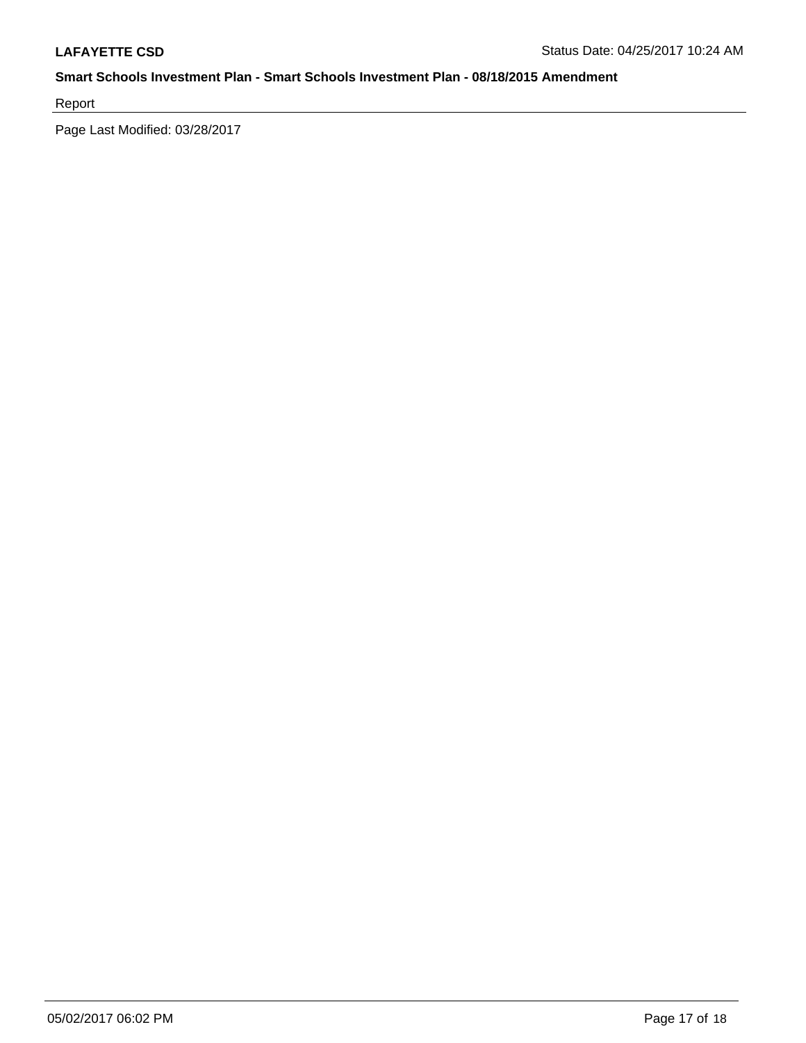Report